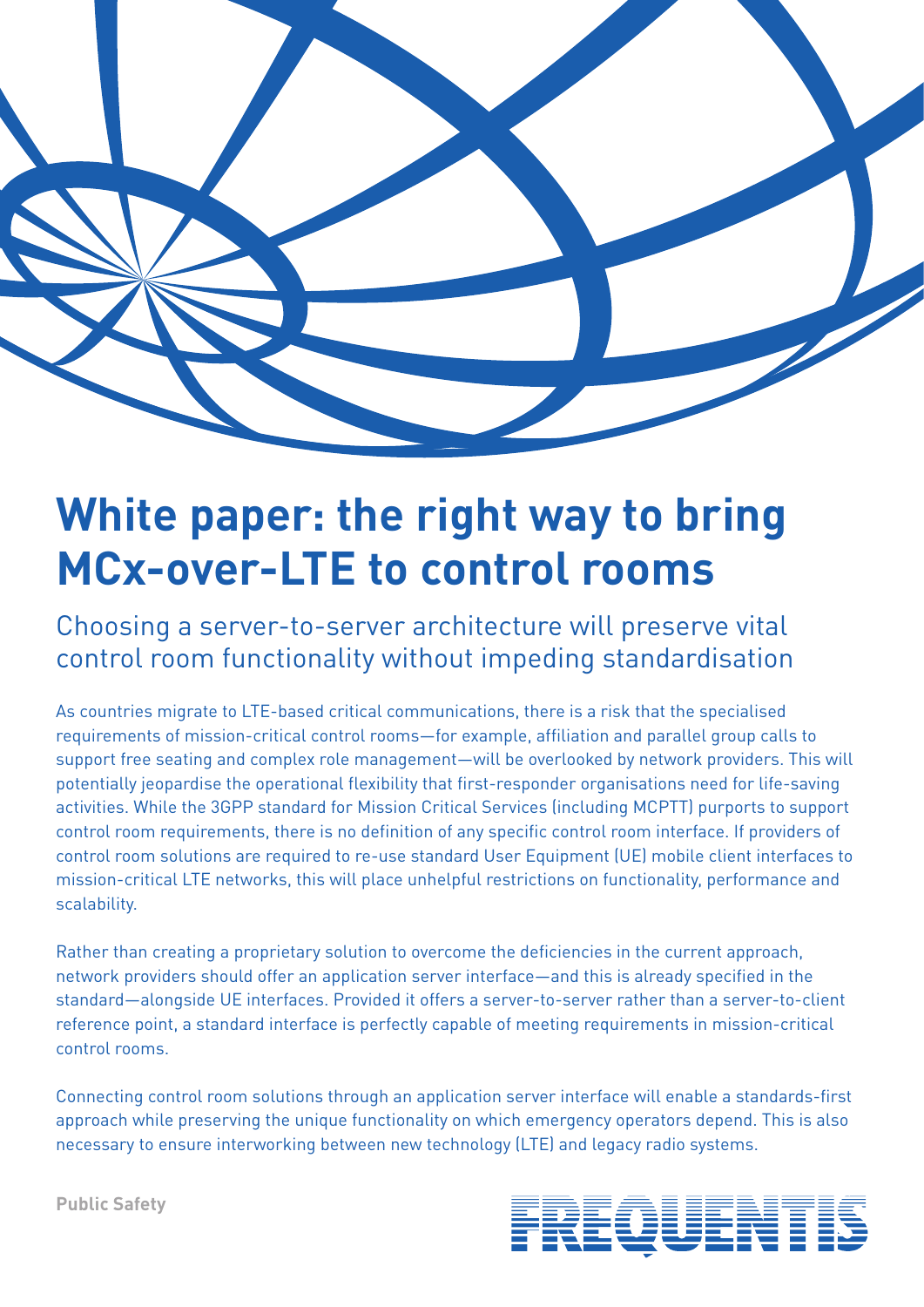

# **White paper: the right way to bring MCx-over-LTE to control rooms**

Choosing a server-to-server architecture will preserve vital control room functionality without impeding standardisation

As countries migrate to LTE-based critical communications, there is a risk that the specialised requirements of mission-critical control rooms—for example, affiliation and parallel group calls to support free seating and complex role management—will be overlooked by network providers. This will potentially jeopardise the operational flexibility that first-responder organisations need for life-saving activities. While the 3GPP standard for Mission Critical Services (including MCPTT) purports to support control room requirements, there is no definition of any specific control room interface. If providers of control room solutions are required to re-use standard User Equipment (UE) mobile client interfaces to mission-critical LTE networks, this will place unhelpful restrictions on functionality, performance and scalability.

Rather than creating a proprietary solution to overcome the deficiencies in the current approach, network providers should offer an application server interface—and this is already specified in the standard—alongside UE interfaces. Provided it offers a server-to-server rather than a server-to-client reference point, a standard interface is perfectly capable of meeting requirements in mission-critical control rooms.

Connecting control room solutions through an application server interface will enable a standards-first approach while preserving the unique functionality on which emergency operators depend. This is also necessary to ensure interworking between new technology (LTE) and legacy radio systems.



**Public Safety**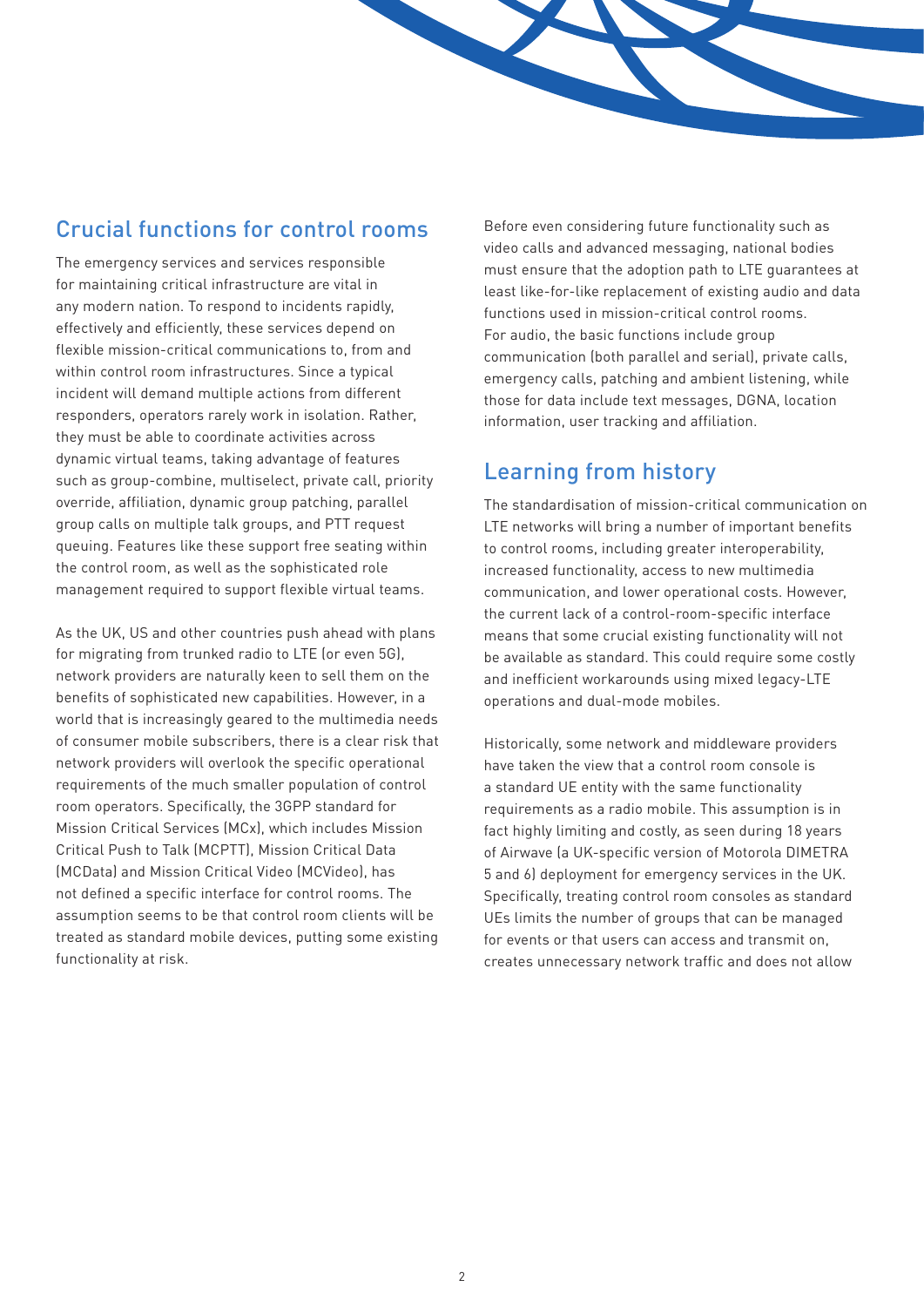# Crucial functions for control rooms

The emergency services and services responsible for maintaining critical infrastructure are vital in any modern nation. To respond to incidents rapidly, effectively and efficiently, these services depend on flexible mission-critical communications to, from and within control room infrastructures. Since a typical incident will demand multiple actions from different responders, operators rarely work in isolation. Rather, they must be able to coordinate activities across dynamic virtual teams, taking advantage of features such as group-combine, multiselect, private call, priority override, affiliation, dynamic group patching, parallel group calls on multiple talk groups, and PTT request queuing. Features like these support free seating within the control room, as well as the sophisticated role management required to support flexible virtual teams.

As the UK, US and other countries push ahead with plans for migrating from trunked radio to LTE (or even 5G), network providers are naturally keen to sell them on the benefits of sophisticated new capabilities. However, in a world that is increasingly geared to the multimedia needs of consumer mobile subscribers, there is a clear risk that network providers will overlook the specific operational requirements of the much smaller population of control room operators. Specifically, the 3GPP standard for Mission Critical Services (MCx), which includes Mission Critical Push to Talk (MCPTT), Mission Critical Data (MCData) and Mission Critical Video (MCVideo), has not defined a specific interface for control rooms. The assumption seems to be that control room clients will be treated as standard mobile devices, putting some existing functionality at risk.

Before even considering future functionality such as video calls and advanced messaging, national bodies must ensure that the adoption path to LTE guarantees at least like-for-like replacement of existing audio and data functions used in mission-critical control rooms. For audio, the basic functions include group communication (both parallel and serial), private calls, emergency calls, patching and ambient listening, while those for data include text messages, DGNA, location information, user tracking and affiliation.

# Learning from history

The standardisation of mission-critical communication on LTE networks will bring a number of important benefits to control rooms, including greater interoperability, increased functionality, access to new multimedia communication, and lower operational costs. However, the current lack of a control-room-specific interface means that some crucial existing functionality will not be available as standard. This could require some costly and inefficient workarounds using mixed legacy-LTE operations and dual-mode mobiles.

Historically, some network and middleware providers have taken the view that a control room console is a standard UE entity with the same functionality requirements as a radio mobile. This assumption is in fact highly limiting and costly, as seen during 18 years of Airwave (a UK-specific version of Motorola DIMETRA 5 and 6) deployment for emergency services in the UK. Specifically, treating control room consoles as standard UEs limits the number of groups that can be managed for events or that users can access and transmit on, creates unnecessary network traffic and does not allow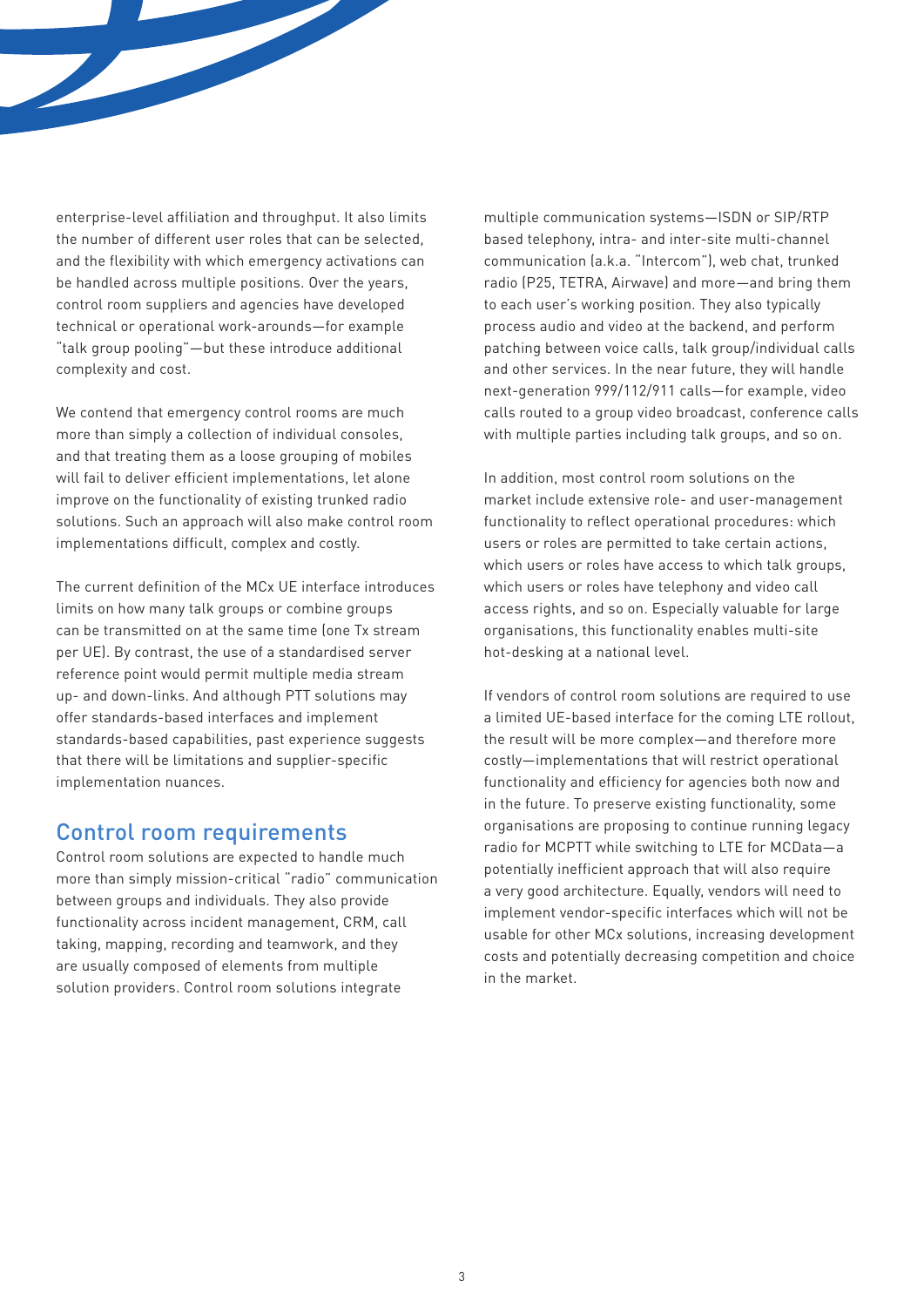enterprise-level affiliation and throughput. It also limits the number of different user roles that can be selected, and the flexibility with which emergency activations can be handled across multiple positions. Over the years, control room suppliers and agencies have developed technical or operational work-arounds—for example "talk group pooling"—but these introduce additional complexity and cost.

We contend that emergency control rooms are much more than simply a collection of individual consoles, and that treating them as a loose grouping of mobiles will fail to deliver efficient implementations, let alone improve on the functionality of existing trunked radio solutions. Such an approach will also make control room implementations difficult, complex and costly.

The current definition of the MCx UE interface introduces limits on how many talk groups or combine groups can be transmitted on at the same time (one Tx stream per UE). By contrast, the use of a standardised server reference point would permit multiple media stream up- and down-links. And although PTT solutions may offer standards-based interfaces and implement standards-based capabilities, past experience suggests that there will be limitations and supplier-specific implementation nuances.

#### Control room requirements

Control room solutions are expected to handle much more than simply mission-critical "radio" communication between groups and individuals. They also provide functionality across incident management, CRM, call taking, mapping, recording and teamwork, and they are usually composed of elements from multiple solution providers. Control room solutions integrate

multiple communication systems—ISDN or SIP/RTP based telephony, intra- and inter-site multi-channel communication (a.k.a. "Intercom"), web chat, trunked radio (P25, TETRA, Airwave) and more—and bring them to each user's working position. They also typically process audio and video at the backend, and perform patching between voice calls, talk group/individual calls and other services. In the near future, they will handle next-generation 999/112/911 calls—for example, video calls routed to a group video broadcast, conference calls with multiple parties including talk groups, and so on.

In addition, most control room solutions on the market include extensive role- and user-management functionality to reflect operational procedures: which users or roles are permitted to take certain actions, which users or roles have access to which talk groups, which users or roles have telephony and video call access rights, and so on. Especially valuable for large organisations, this functionality enables multi-site hot-desking at a national level.

If vendors of control room solutions are required to use a limited UE-based interface for the coming LTE rollout, the result will be more complex—and therefore more costly—implementations that will restrict operational functionality and efficiency for agencies both now and in the future. To preserve existing functionality, some organisations are proposing to continue running legacy radio for MCPTT while switching to LTE for MCData—a potentially inefficient approach that will also require a very good architecture. Equally, vendors will need to implement vendor-specific interfaces which will not be usable for other MCx solutions, increasing development costs and potentially decreasing competition and choice in the market.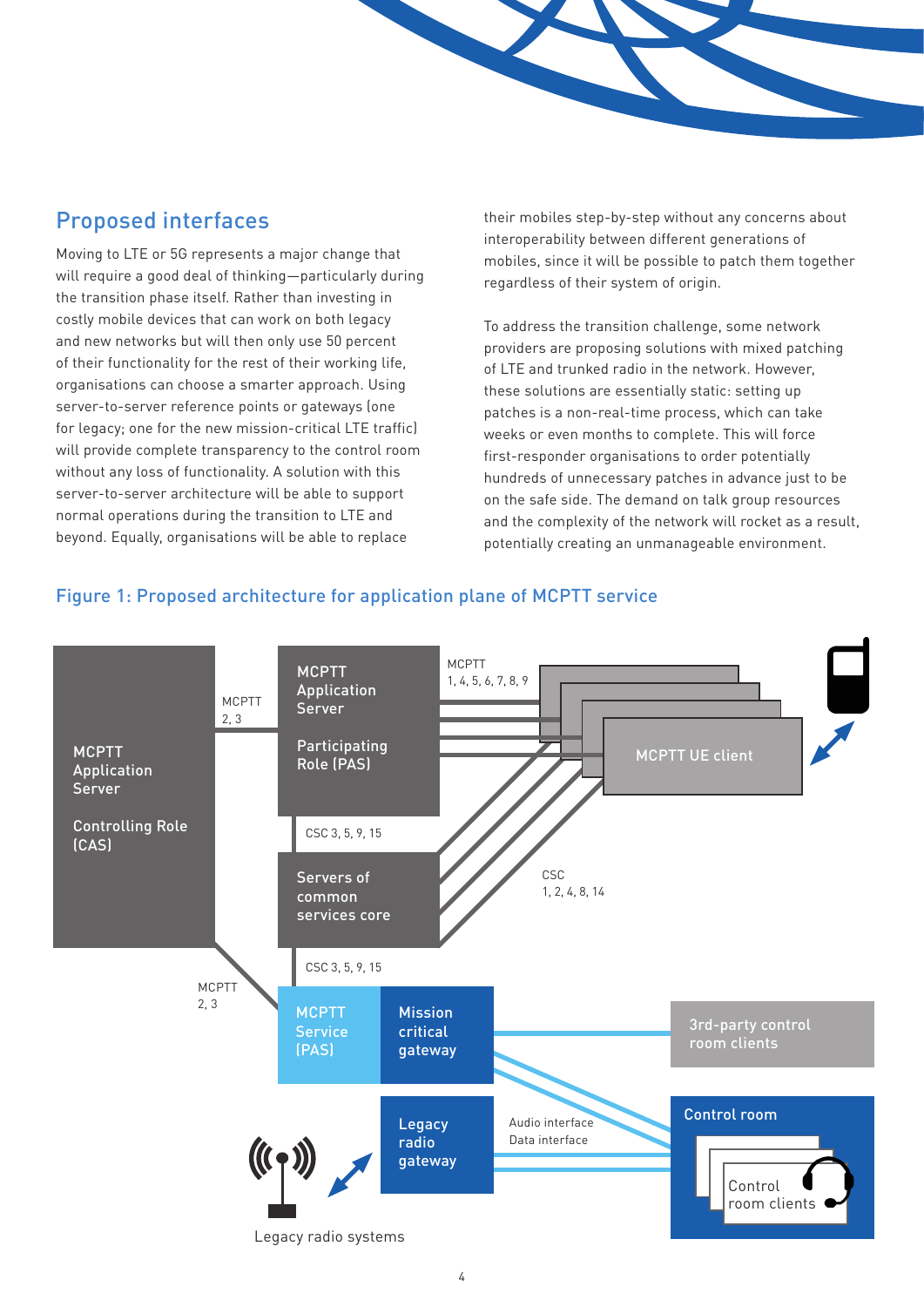### Proposed interfaces

Moving to LTE or 5G represents a major change that will require a good deal of thinking—particularly during the transition phase itself. Rather than investing in costly mobile devices that can work on both legacy and new networks but will then only use 50 percent of their functionality for the rest of their working life, organisations can choose a smarter approach. Using server-to-server reference points or gateways (one for legacy; one for the new mission-critical LTE traffic) will provide complete transparency to the control room without any loss of functionality. A solution with this server-to-server architecture will be able to support normal operations during the transition to LTE and beyond. Equally, organisations will be able to replace

their mobiles step-by-step without any concerns about interoperability between different generations of mobiles, since it will be possible to patch them together regardless of their system of origin.

To address the transition challenge, some network providers are proposing solutions with mixed patching of LTE and trunked radio in the network. However, these solutions are essentially static: setting up patches is a non-real-time process, which can take weeks or even months to complete. This will force first-responder organisations to order potentially hundreds of unnecessary patches in advance just to be on the safe side. The demand on talk group resources and the complexity of the network will rocket as a result, potentially creating an unmanageable environment.



#### Figure 1: Proposed architecture for application plane of MCPTT service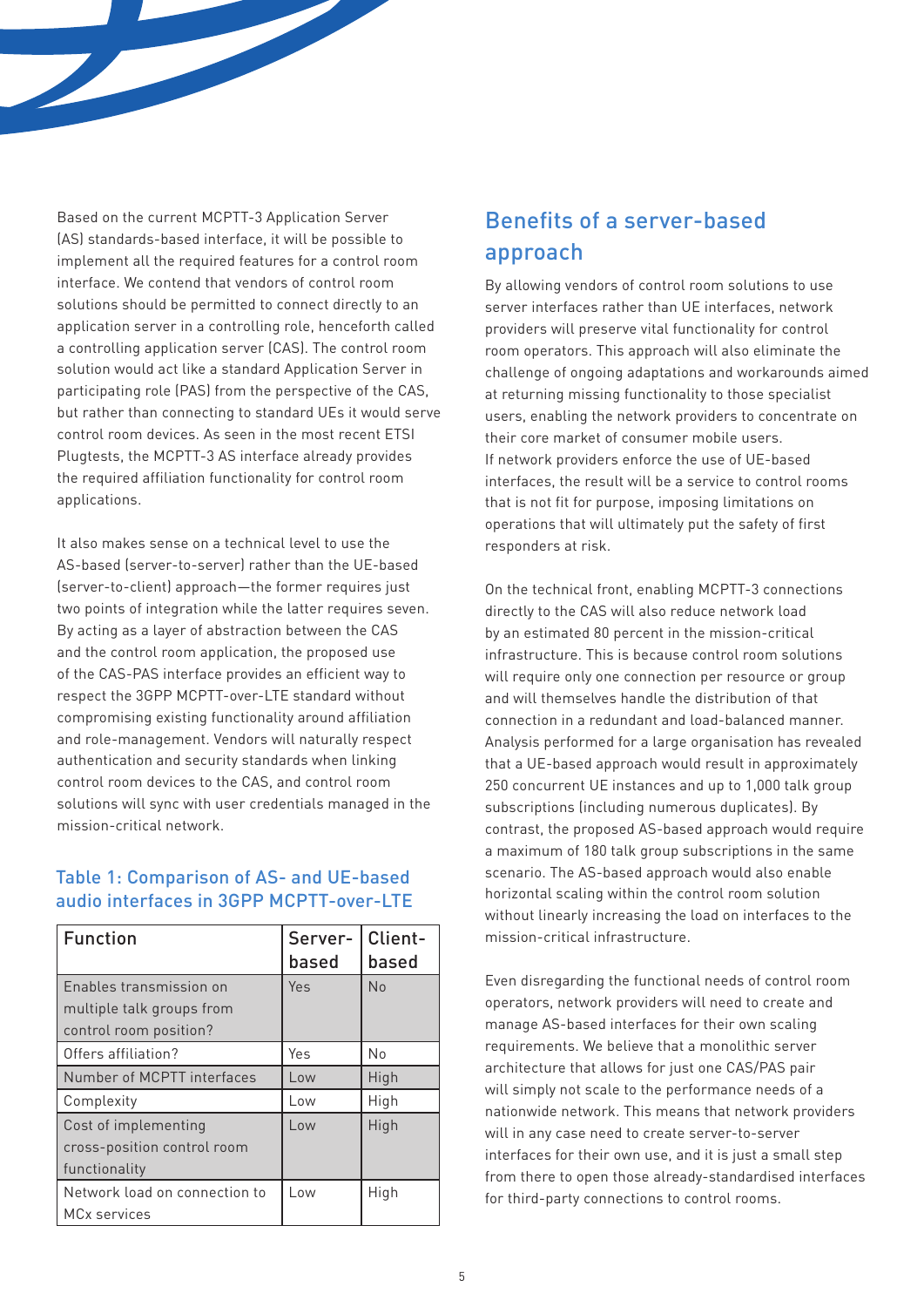Based on the current MCPTT-3 Application Server (AS) standards-based interface, it will be possible to implement all the required features for a control room interface. We contend that vendors of control room solutions should be permitted to connect directly to an application server in a controlling role, henceforth called a controlling application server (CAS). The control room solution would act like a standard Application Server in participating role (PAS) from the perspective of the CAS, but rather than connecting to standard UEs it would serve control room devices. As seen in the most recent ETSI Plugtests, the MCPTT-3 AS interface already provides the required affiliation functionality for control room applications.

It also makes sense on a technical level to use the AS-based (server-to-server) rather than the UE-based (server-to-client) approach—the former requires just two points of integration while the latter requires seven. By acting as a layer of abstraction between the CAS and the control room application, the proposed use of the CAS-PAS interface provides an efficient way to respect the 3GPP MCPTT-over-LTE standard without compromising existing functionality around affiliation and role-management. Vendors will naturally respect authentication and security standards when linking control room devices to the CAS, and control room solutions will sync with user credentials managed in the mission-critical network.

#### Table 1: Comparison of AS- and UE-based audio interfaces in 3GPP MCPTT-over-LTE

| <b>Function</b>               | Server-<br>based | Client-<br>based |
|-------------------------------|------------------|------------------|
| Enables transmission on       | Yes              | <b>No</b>        |
| multiple talk groups from     |                  |                  |
| control room position?        |                  |                  |
| Offers affiliation?           | Yes              | N <sub>0</sub>   |
| Number of MCPTT interfaces    | Low              | High             |
| Complexity                    | Low              | High             |
| Cost of implementing          | Low              | High             |
| cross-position control room   |                  |                  |
| functionality                 |                  |                  |
| Network load on connection to | Low              | High             |
| <b>MCx services</b>           |                  |                  |

## Benefits of a server-based approach

By allowing vendors of control room solutions to use server interfaces rather than UE interfaces, network providers will preserve vital functionality for control room operators. This approach will also eliminate the challenge of ongoing adaptations and workarounds aimed at returning missing functionality to those specialist users, enabling the network providers to concentrate on their core market of consumer mobile users. If network providers enforce the use of UE-based interfaces, the result will be a service to control rooms that is not fit for purpose, imposing limitations on operations that will ultimately put the safety of first responders at risk.

On the technical front, enabling MCPTT-3 connections directly to the CAS will also reduce network load by an estimated 80 percent in the mission-critical infrastructure. This is because control room solutions will require only one connection per resource or group and will themselves handle the distribution of that connection in a redundant and load-balanced manner. Analysis performed for a large organisation has revealed that a UE-based approach would result in approximately 250 concurrent UE instances and up to 1,000 talk group subscriptions (including numerous duplicates). By contrast, the proposed AS-based approach would require a maximum of 180 talk group subscriptions in the same scenario. The AS-based approach would also enable horizontal scaling within the control room solution without linearly increasing the load on interfaces to the mission-critical infrastructure.

Even disregarding the functional needs of control room operators, network providers will need to create and manage AS-based interfaces for their own scaling requirements. We believe that a monolithic server architecture that allows for just one CAS/PAS pair will simply not scale to the performance needs of a nationwide network. This means that network providers will in any case need to create server-to-server interfaces for their own use, and it is just a small step from there to open those already-standardised interfaces for third-party connections to control rooms.